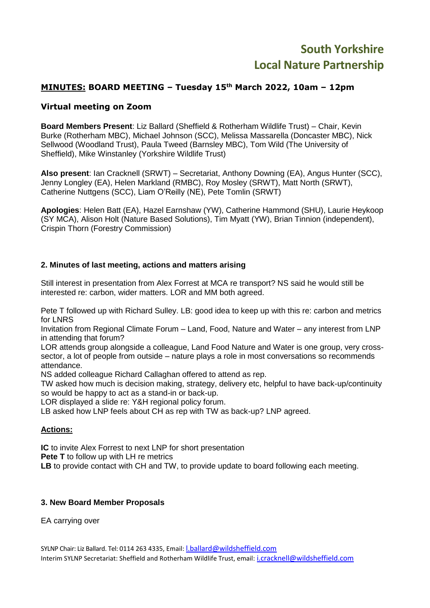# **South Yorkshire Local Nature Partnership**

# **MINUTES: BOARD MEETING – Tuesday 15th March 2022, 10am – 12pm**

## **Virtual meeting on Zoom**

**Board Members Present**: Liz Ballard (Sheffield & Rotherham Wildlife Trust) – Chair, Kevin Burke (Rotherham MBC), Michael Johnson (SCC), Melissa Massarella (Doncaster MBC), Nick Sellwood (Woodland Trust), Paula Tweed (Barnsley MBC), Tom Wild (The University of Sheffield), Mike Winstanley (Yorkshire Wildlife Trust)

**Also present**: Ian Cracknell (SRWT) – Secretariat, Anthony Downing (EA), Angus Hunter (SCC), Jenny Longley (EA), Helen Markland (RMBC), Roy Mosley (SRWT), Matt North (SRWT), Catherine Nuttgens (SCC), Liam O'Reilly (NE), Pete Tomlin (SRWT)

**Apologies**: Helen Batt (EA), Hazel Earnshaw (YW), Catherine Hammond (SHU), Laurie Heykoop (SY MCA), Alison Holt (Nature Based Solutions), Tim Myatt (YW), Brian Tinnion (independent), Crispin Thorn (Forestry Commission)

#### **2. Minutes of last meeting, actions and matters arising**

Still interest in presentation from Alex Forrest at MCA re transport? NS said he would still be interested re: carbon, wider matters. LOR and MM both agreed.

Pete T followed up with Richard Sulley. LB: good idea to keep up with this re: carbon and metrics for LNRS

Invitation from Regional Climate Forum – Land, Food, Nature and Water – any interest from LNP in attending that forum?

LOR attends group alongside a colleague, Land Food Nature and Water is one group, very crosssector, a lot of people from outside – nature plays a role in most conversations so recommends attendance.

NS added colleague Richard Callaghan offered to attend as rep.

TW asked how much is decision making, strategy, delivery etc, helpful to have back-up/continuity so would be happy to act as a stand-in or back-up.

LOR displayed a slide re: Y&H regional policy forum.

LB asked how LNP feels about CH as rep with TW as back-up? LNP agreed.

#### **Actions:**

**IC** to invite Alex Forrest to next LNP for short presentation

**Pete T** to follow up with LH re metrics

**LB** to provide contact with CH and TW, to provide update to board following each meeting.

#### **3. New Board Member Proposals**

EA carrying over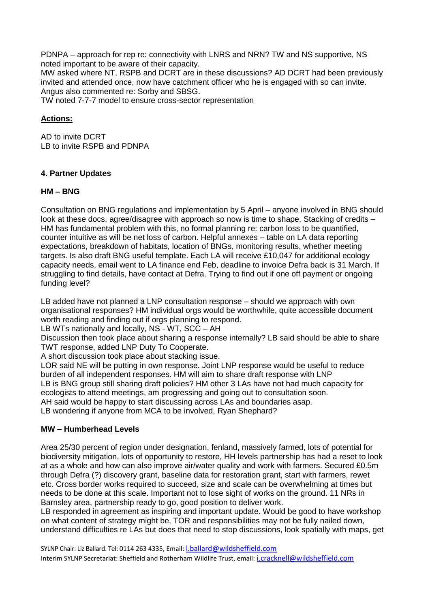PDNPA – approach for rep re: connectivity with LNRS and NRN? TW and NS supportive, NS noted important to be aware of their capacity.

MW asked where NT, RSPB and DCRT are in these discussions? AD DCRT had been previously invited and attended once, now have catchment officer who he is engaged with so can invite. Angus also commented re: Sorby and SBSG.

TW noted 7-7-7 model to ensure cross-sector representation

## **Actions:**

AD to invite DCRT LB to invite RSPB and PDNPA

## **4. Partner Updates**

#### **HM – BNG**

Consultation on BNG regulations and implementation by 5 April – anyone involved in BNG should look at these docs, agree/disagree with approach so now is time to shape. Stacking of credits – HM has fundamental problem with this, no formal planning re: carbon loss to be quantified, counter intuitive as will be net loss of carbon. Helpful annexes – table on LA data reporting expectations, breakdown of habitats, location of BNGs, monitoring results, whether meeting targets. Is also draft BNG useful template. Each LA will receive £10,047 for additional ecology capacity needs, email went to LA finance end Feb, deadline to invoice Defra back is 31 March. If struggling to find details, have contact at Defra. Trying to find out if one off payment or ongoing funding level?

LB added have not planned a LNP consultation response – should we approach with own organisational responses? HM individual orgs would be worthwhile, quite accessible document worth reading and finding out if orgs planning to respond.

LB WTs nationally and locally, NS - WT, SCC – AH

Discussion then took place about sharing a response internally? LB said should be able to share TWT response, added LNP Duty To Cooperate.

A short discussion took place about stacking issue.

LOR said NE will be putting in own response. Joint LNP response would be useful to reduce burden of all independent responses. HM will aim to share draft response with LNP LB is BNG group still sharing draft policies? HM other 3 LAs have not had much capacity for ecologists to attend meetings, am progressing and going out to consultation soon. AH said would be happy to start discussing across LAs and boundaries asap. LB wondering if anyone from MCA to be involved, Ryan Shephard?

#### **MW – Humberhead Levels**

Area 25/30 percent of region under designation, fenland, massively farmed, lots of potential for biodiversity mitigation, lots of opportunity to restore, HH levels partnership has had a reset to look at as a whole and how can also improve air/water quality and work with farmers. Secured £0.5m through Defra (?) discovery grant, baseline data for restoration grant, start with farmers, rewet etc. Cross border works required to succeed, size and scale can be overwhelming at times but needs to be done at this scale. Important not to lose sight of works on the ground. 11 NRs in Barnsley area, partnership ready to go, good position to deliver work.

LB responded in agreement as inspiring and important update. Would be good to have workshop on what content of strategy might be, TOR and responsibilities may not be fully nailed down, understand difficulties re LAs but does that need to stop discussions, look spatially with maps, get

SYLNP Chair: Liz Ballard. Tel: 0114 263 4335, Email: *Lballard@wildsheffield.com* Interim SYLNP Secretariat: Sheffield and Rotherham Wildlife Trust, email: [i.cracknell@wildsheffield.com](mailto:i.cracknell@wildsheffield.com)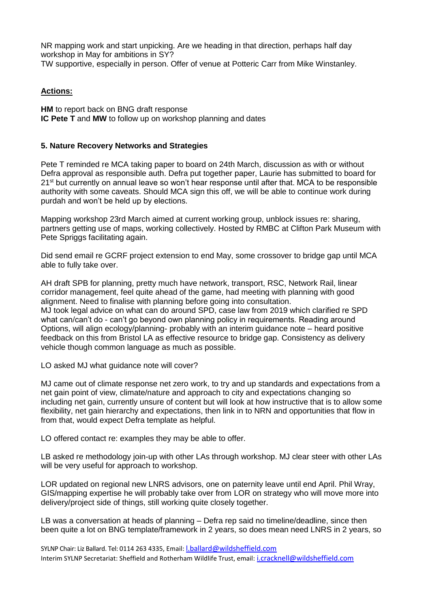NR mapping work and start unpicking. Are we heading in that direction, perhaps half day workshop in May for ambitions in SY? TW supportive, especially in person. Offer of venue at Potteric Carr from Mike Winstanley.

# **Actions:**

**HM** to report back on BNG draft response **IC Pete T** and **MW** to follow up on workshop planning and dates

#### **5. Nature Recovery Networks and Strategies**

Pete T reminded re MCA taking paper to board on 24th March, discussion as with or without Defra approval as responsible auth. Defra put together paper, Laurie has submitted to board for  $21<sup>st</sup>$  but currently on annual leave so won't hear response until after that. MCA to be responsible authority with some caveats. Should MCA sign this off, we will be able to continue work during purdah and won't be held up by elections.

Mapping workshop 23rd March aimed at current working group, unblock issues re: sharing, partners getting use of maps, working collectively. Hosted by RMBC at Clifton Park Museum with Pete Spriggs facilitating again.

Did send email re GCRF project extension to end May, some crossover to bridge gap until MCA able to fully take over.

AH draft SPB for planning, pretty much have network, transport, RSC, Network Rail, linear corridor management, feel quite ahead of the game, had meeting with planning with good alignment. Need to finalise with planning before going into consultation. MJ took legal advice on what can do around SPD, case law from 2019 which clarified re SPD what can/can't do - can't go beyond own planning policy in requirements. Reading around Options, will align ecology/planning- probably with an interim guidance note – heard positive feedback on this from Bristol LA as effective resource to bridge gap. Consistency as delivery vehicle though common language as much as possible.

LO asked MJ what guidance note will cover?

MJ came out of climate response net zero work, to try and up standards and expectations from a net gain point of view, climate/nature and approach to city and expectations changing so including net gain, currently unsure of content but will look at how instructive that is to allow some flexibility, net gain hierarchy and expectations, then link in to NRN and opportunities that flow in from that, would expect Defra template as helpful.

LO offered contact re: examples they may be able to offer.

LB asked re methodology join-up with other LAs through workshop. MJ clear steer with other LAs will be very useful for approach to workshop.

LOR updated on regional new LNRS advisors, one on paternity leave until end April. Phil Wray, GIS/mapping expertise he will probably take over from LOR on strategy who will move more into delivery/project side of things, still working quite closely together.

LB was a conversation at heads of planning – Defra rep said no timeline/deadline, since then been quite a lot on BNG template/framework in 2 years, so does mean need LNRS in 2 years, so

SYLNP Chair: Liz Ballard. Tel: 0114 263 4335, Email: *[l.ballard@wildsheffield.com](mailto:l.ballard@wildsheffield.com)* Interim SYLNP Secretariat: Sheffield and Rotherham Wildlife Trust, email: [i.cracknell@wildsheffield.com](mailto:i.cracknell@wildsheffield.com)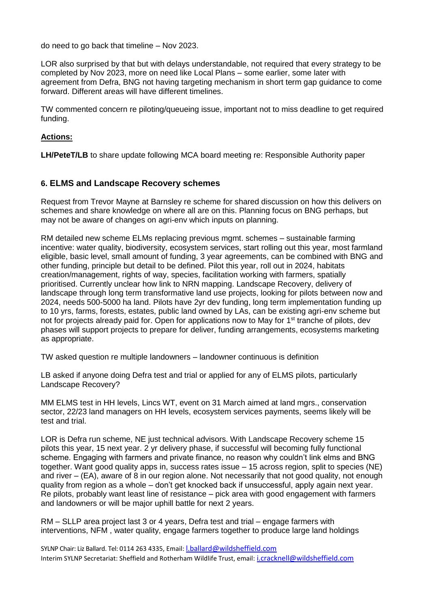do need to go back that timeline – Nov 2023.

LOR also surprised by that but with delays understandable, not required that every strategy to be completed by Nov 2023, more on need like Local Plans – some earlier, some later with agreement from Defra, BNG not having targeting mechanism in short term gap guidance to come forward. Different areas will have different timelines.

TW commented concern re piloting/queueing issue, important not to miss deadline to get required funding.

#### **Actions:**

**LH/PeteT/LB** to share update following MCA board meeting re: Responsible Authority paper

## **6. ELMS and Landscape Recovery schemes**

Request from Trevor Mayne at Barnsley re scheme for shared discussion on how this delivers on schemes and share knowledge on where all are on this. Planning focus on BNG perhaps, but may not be aware of changes on agri-env which inputs on planning.

RM detailed new scheme ELMs replacing previous mgmt. schemes – sustainable farming incentive: water quality, biodiversity, ecosystem services, start rolling out this year, most farmland eligible, basic level, small amount of funding, 3 year agreements, can be combined with BNG and other funding, principle but detail to be defined. Pilot this year, roll out in 2024, habitats creation/management, rights of way, species, facilitation working with farmers, spatially prioritised. Currently unclear how link to NRN mapping. Landscape Recovery, delivery of landscape through long term transformative land use projects, looking for pilots between now and 2024, needs 500-5000 ha land. Pilots have 2yr dev funding, long term implementation funding up to 10 yrs, farms, forests, estates, public land owned by LAs, can be existing agri-env scheme but not for projects already paid for. Open for applications now to May for 1<sup>st</sup> tranche of pilots, dev phases will support projects to prepare for deliver, funding arrangements, ecosystems marketing as appropriate.

TW asked question re multiple landowners – landowner continuous is definition

LB asked if anyone doing Defra test and trial or applied for any of ELMS pilots, particularly Landscape Recovery?

MM ELMS test in HH levels, Lincs WT, event on 31 March aimed at land mgrs., conservation sector, 22/23 land managers on HH levels, ecosystem services payments, seems likely will be test and trial.

LOR is Defra run scheme, NE just technical advisors. With Landscape Recovery scheme 15 pilots this year, 15 next year. 2 yr delivery phase, if successful will becoming fully functional scheme. Engaging with farmers and private finance, no reason why couldn't link elms and BNG together. Want good quality apps in, success rates issue – 15 across region, split to species (NE) and river – (EA), aware of 8 in our region alone. Not necessarily that not good quality, not enough quality from region as a whole – don't get knocked back if unsuccessful, apply again next year. Re pilots, probably want least line of resistance – pick area with good engagement with farmers and landowners or will be major uphill battle for next 2 years.

RM – SLLP area project last 3 or 4 years, Defra test and trial – engage farmers with interventions, NFM , water quality, engage farmers together to produce large land holdings

SYLNP Chair: Liz Ballard. Tel: 0114 263 4335, Email: [l.ballard@wildsheffield.com](mailto:l.ballard@wildsheffield.com) Interim SYLNP Secretariat: Sheffield and Rotherham Wildlife Trust, email: [i.cracknell@wildsheffield.com](mailto:i.cracknell@wildsheffield.com)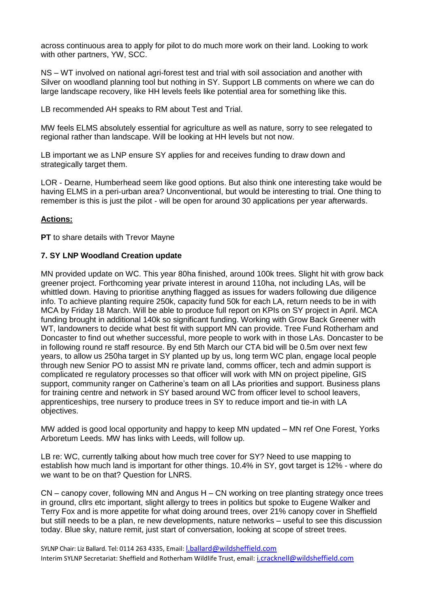across continuous area to apply for pilot to do much more work on their land. Looking to work with other partners, YW, SCC.

NS – WT involved on national agri-forest test and trial with soil association and another with Silver on woodland planning tool but nothing in SY. Support LB comments on where we can do large landscape recovery, like HH levels feels like potential area for something like this.

LB recommended AH speaks to RM about Test and Trial.

MW feels ELMS absolutely essential for agriculture as well as nature, sorry to see relegated to regional rather than landscape. Will be looking at HH levels but not now.

LB important we as LNP ensure SY applies for and receives funding to draw down and strategically target them.

LOR - Dearne, Humberhead seem like good options. But also think one interesting take would be having ELMS in a peri-urban area? Unconventional, but would be interesting to trial. One thing to remember is this is just the pilot - will be open for around 30 applications per year afterwards.

#### **Actions:**

**PT** to share details with Trevor Mayne

#### **7. SY LNP Woodland Creation update**

MN provided update on WC. This year 80ha finished, around 100k trees. Slight hit with grow back greener project. Forthcoming year private interest in around 110ha, not including LAs, will be whittled down. Having to prioritise anything flagged as issues for waders following due diligence info. To achieve planting require 250k, capacity fund 50k for each LA, return needs to be in with MCA by Friday 18 March. Will be able to produce full report on KPIs on SY project in April. MCA funding brought in additional 140k so significant funding. Working with Grow Back Greener with WT, landowners to decide what best fit with support MN can provide. Tree Fund Rotherham and Doncaster to find out whether successful, more people to work with in those LAs. Doncaster to be in following round re staff resource. By end 5th March our CTA bid will be 0.5m over next few years, to allow us 250ha target in SY planted up by us, long term WC plan, engage local people through new Senior PO to assist MN re private land, comms officer, tech and admin support is complicated re regulatory processes so that officer will work with MN on project pipeline, GIS support, community ranger on Catherine's team on all LAs priorities and support. Business plans for training centre and network in SY based around WC from officer level to school leavers, apprenticeships, tree nursery to produce trees in SY to reduce import and tie-in with LA objectives.

MW added is good local opportunity and happy to keep MN updated – MN ref One Forest, Yorks Arboretum Leeds. MW has links with Leeds, will follow up.

LB re: WC, currently talking about how much tree cover for SY? Need to use mapping to establish how much land is important for other things. 10.4% in SY, govt target is 12% - where do we want to be on that? Question for LNRS.

CN – canopy cover, following MN and Angus H – CN working on tree planting strategy once trees in ground, cllrs etc important, slight allergy to trees in politics but spoke to Eugene Walker and Terry Fox and is more appetite for what doing around trees, over 21% canopy cover in Sheffield but still needs to be a plan, re new developments, nature networks – useful to see this discussion today. Blue sky, nature remit, just start of conversation, looking at scope of street trees.

SYLNP Chair: Liz Ballard. Tel: 0114 263 4335, Email: *Lballard@wildsheffield.com* Interim SYLNP Secretariat: Sheffield and Rotherham Wildlife Trust, email: [i.cracknell@wildsheffield.com](mailto:i.cracknell@wildsheffield.com)